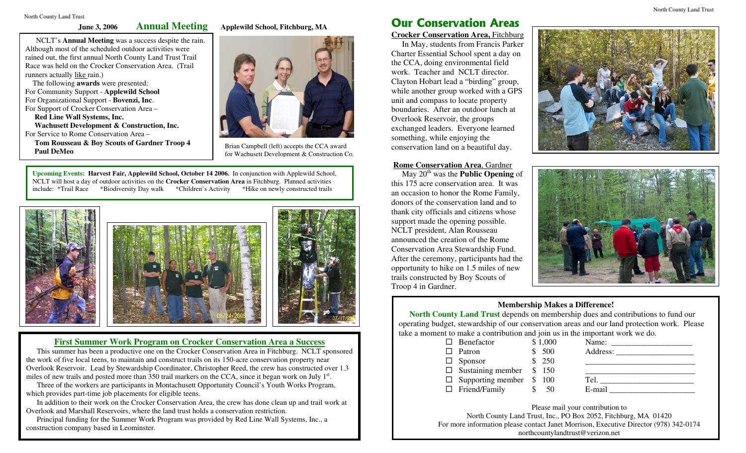**June 3, 2006 Annual Meeting Applewild School, Fitchburg, MA**

NCLT's **Annual Meeting** was a success despite the rain. Although most of the scheduled outdoor activities were rained out, the first annual North County Land Trust Trail Race was held on the Crocker Conservation Area. (Trail runners actually like rain.)

 The following **awards** were presented: For Community Support - **Applewild School** For Organizational Support - **Bovenzi, Inc**. For Support of Crocker Conservation Area –

 **Red Line Wall Systems, Inc. Wachusett Development & Construction, Inc.**  For Service to Rome Conservation Area –

 **Tom Rousseau & Boy Scouts of Gardner Troop 4 Paul DeMeo** 



**Upcoming Events: Harvest Fair, Applewild School, October 14 2006.** In conjunction with Applewild School, NCLT will host a day of outdoor activities on the **Crocker Conservation Area** in Fitchburg. Planned activities include: \*Trail Race \*Biodiversity Day walk \*Children's Activity \*Hike on newly constructed trails







#### **First Summer Work Program on Crocker Conservation Area a Success**

This summer has been a productive one on the Crocker Conservation Area in Fitchburg. NCLT sponsored the work of five local teens, to maintain and construct trails on its 150-acre conservation property near Overlook Reservoir. Lead by Stewardship Coordinator, Christopher Reed, the crew has constructed over 1.3 miles of new trails and posted more than  $350$  trail markers on the CCA, since it began work on July  $1<sup>st</sup>$ .

Three of the workers are participants in Montachusett Opportunity Council's Youth Works Program, which provides part-time job placements for eligible teens.

In addition to their work on the Crocker Conservation Area, the crew has done clean up and trail work at Overlook and Marshall Reservoirs, where the land trust holds a conservation restriction.

Principal funding for the Summer Work Program was provided by Red Line Wall Systems, Inc., a construction company based in Leominster.

# North County Land Trust<br> **Sure 3, 2006 Annual Meeting Applewild School, Fitchburg, MA Our Conservation Areas**

**Crocker Conservation Area,** Fitchburg

In May, students from Francis Parker Charter Essential School spent a day on the CCA, doing environmental field work. Teacher and NCLT director. Clayton Hobart lead a "birding" group, while another group worked with a GPS unit and compass to locate property boundaries. After an outdoor lunch at Overlook Reservoir, the groups exchanged leaders. Everyone learned something, while enjoying the conservation land on a beautiful day.

#### **Rome Conservation Area**, Gardner

May 20<sup>th</sup> was the **Public Opening** of this 175 acre conservation area. It was an occasion to honor the Rome Family, donors of the conservation land and to thank city officials and citizens whose support made the opening possible. NCLT president, Alan Rousseau announced the creation of the Rome Conservation Area Stewardship Fund. After the ceremony, participants had the opportunity to hike on 1.5 miles of new trails constructed by Boy Scouts of Troop 4 in Gardner.



![](_page_0_Picture_23.jpeg)

### **Membership Makes a Difference!**

**North County Land Trust** depends on membership dues and contributions to fund our operating budget, stewardship of our conservation areas and our land protection work. Please take a moment to make a contribution and join us in the important work we do.

| $\Box$ Benefactor               | \$1,000 |        |
|---------------------------------|---------|--------|
| $\Box$ Patron                   | \$500   |        |
| $\Box$ Sponsor                  | \$250   |        |
| $\Box$ Sustaining member        | \$150   |        |
| $\Box$ Supporting member \$ 100 |         |        |
| $\Box$ Friend/Family            | 50      | E-mail |

Please mail your contribution to North County Land Trust, Inc., PO Box 2052, Fitchburg, MA 01420 For more information please contact Janet Morrison, Executive Director (978) 342-0174 northcountylandtrust@verizon.net